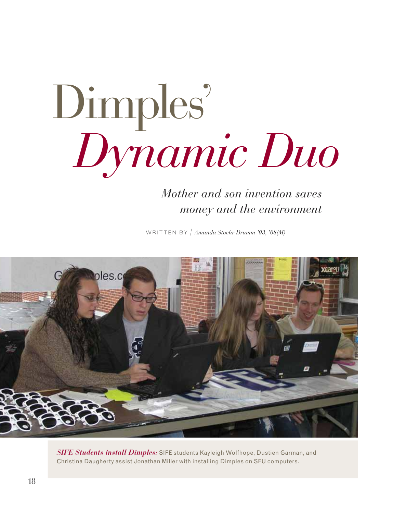# Dimples' *Dynamic Duo*

## *Mother and son invention saves money and the environment*

WRITTEN BY / *Amanda Stoehr Drumm '03, '08(M)*



*SIFE Students install Dimples:* SIFE students Kayleigh Wolfhope, Dustien Garman, and Christina Daugherty assist Jonathan Miller with installing Dimples on SFU computers.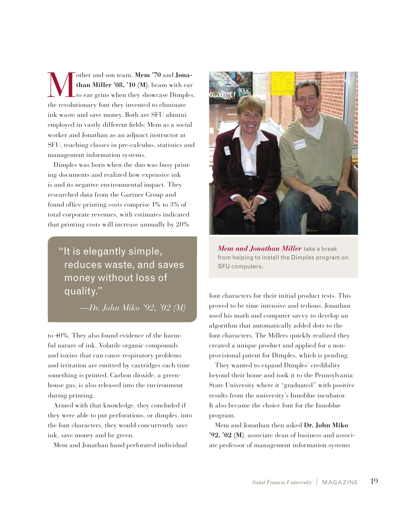Wother and son team, Mem '70 and **Jona-**<br> **Constant in the Miller '08, '10 (M)**, beam with ear<br>
the revolutionery font they invented to climinate **than Miller '08, '10 (M)**, beam with ear to ear grins when they showcase Dimples, the revolutionary font they invented to eliminate ink waste and save money. Both are SFU alumni employed in vastly different fields: Mem as a social worker and Jonathan as an adjunct instructor at SFU, teaching classes in pre-calculus, statistics and management information systems.

Dimples was born when the duo was busy printing documents and realized how expensive ink is and its negative environmental impact. They researched data from the Gartner Group and found office printing costs comprise 1% to 3% of total corporate revenues, with estimates indicated that printing costs will increase annually by 20%

"It is elegantly simple, reduces waste, and saves money without loss of quality."

*—Dr. John Miko '92, '02 (M)*

to 40%. They also found evidence of the harmful nature of ink. Volatile organic compounds and toxins that can cause respiratory problems and irritation are emitted by cartridges each time something is printed. Carbon dioxide, a greenhouse gas, is also released into the environment during printing.

Armed with that knowledge, they concluded if they were able to put perforations, or dimples, into the font characters, they would concurrently save ink, save money and be green.

Mem and Jonathan hand perforated individual



*Mem and Jonathan Miller* take a break from helping to install the Dimples program on SFU computers.

font characters for their initial product tests. This proved to be time intensive and tedious. Jonathan used his math and computer savvy to develop an algorithm that automatically added dots to the font characters. The Millers quickly realized they created a unique product and applied for a nonprovisional patent for Dimples, which is pending.

They wanted to expand Dimples' credibility beyond their home and took it to the Pennsylvania State University where it "graduated" with positive results from the university's Innoblue incubator. It also became the choice font for the Innoblue program.

Mem and Jonathan then asked **Dr. John Miko '92, '02 (M)**, associate dean of business and associate professor of management information systems